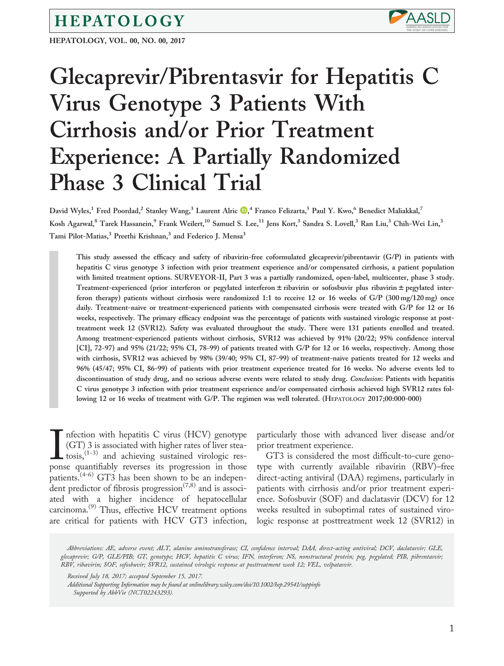## HEPATOLOGY

HEPATOLOGY, VOL. 00, NO. 00, 2017



# Glecaprevir/Pibrentasvir for Hepatitis C Virus Genotype 3 Patients With Cirrhosis and/or Prior Treatment Experience: A Partially Randomized Phase 3 Clinical Trial

David Wyles[,](http://orcid.org/0000-0003-0676-7539)<sup>1</sup> Fred Poordad,<sup>2</sup> Stanley Wang,<sup>3</sup> Laurent Alric ®,<sup>4</sup> Franco Felizarta,<sup>5</sup> Paul Y. Kwo,<sup>6</sup> Benedict Maliakkal,<sup>7</sup> Kosh Agarwal,<sup>8</sup> Tarek Hassanein,<sup>9</sup> Frank Weilert,<sup>10</sup> Samuel S. Lee,<sup>11</sup> Jens Kort,<sup>3</sup> Sandra S. Lovell,<sup>3</sup> Ran Liu,<sup>3</sup> Chih-Wei Lin,<sup>3</sup> Tami Pilot-Matias,<sup>3</sup> Preethi Krishnan,<sup>3</sup> and Federico J. Mensa<sup>3</sup>

This study assessed the efficacy and safety of ribavirin-free coformulated glecaprevir/pibrentasvir (G/P) in patients with hepatitis C virus genotype 3 infection with prior treatment experience and/or compensated cirrhosis, a patient population with limited treatment options. SURVEYOR-II, Part 3 was a partially randomized, open-label, multicenter, phase 3 study. Treatment-experienced (prior interferon or pegylated interferon  $\pm$  ribavirin or sofosbuvir plus ribavirin  $\pm$  pegylated interferon therapy) patients without cirrhosis were randomized 1:1 to receive 12 or 16 weeks of G/P (300 mg/120 mg) once daily. Treatment-naive or treatment-experienced patients with compensated cirrhosis were treated with G/P for 12 or 16 weeks, respectively. The primary efficacy endpoint was the percentage of patients with sustained virologic response at posttreatment week 12 (SVR12). Safety was evaluated throughout the study. There were 131 patients enrolled and treated. Among treatment-experienced patients without cirrhosis, SVR12 was achieved by 91% (20/22; 95% confidence interval [CI], 72-97) and 95% (21/22; 95% CI, 78-99) of patients treated with G/P for 12 or 16 weeks, respectively. Among those with cirrhosis, SVR12 was achieved by 98% (39/40; 95% CI, 87-99) of treatment-naive patients treated for 12 weeks and 96% (45/47; 95% CI, 86-99) of patients with prior treatment experience treated for 16 weeks. No adverse events led to discontinuation of study drug, and no serious adverse events were related to study drug. Conclusion: Patients with hepatitis C virus genotype 3 infection with prior treatment experience and/or compensated cirrhosis achieved high SVR12 rates following 12 or 16 weeks of treatment with G/P. The regimen was well tolerated. (HEPATOLOGY 2017;00:000-000)

 $\prod_{\text{pons}}$ nfection with hepatitis C virus (HCV) genotype (GT) 3 is associated with higher rates of liver stea $t$ osis,  $(1-3)$  and achieving sustained virologic response quantifiably reverses its progression in those patients.(4-6) GT3 has been shown to be an independent predictor of fibrosis progression<sup> $(7,8)$ </sup> and is associated with a higher incidence of hepatocellular carcinoma.<sup>(9)</sup> Thus, effective HCV treatment options are critical for patients with HCV GT3 infection,

particularly those with advanced liver disease and/or prior treatment experience.

GT3 is considered the most difficult-to-cure genotype with currently available ribavirin (RBV)–free direct-acting antiviral (DAA) regimens, particularly in patients with cirrhosis and/or prior treatment experience. Sofosbuvir (SOF) and daclatasvir (DCV) for 12 weeks resulted in suboptimal rates of sustained virologic response at posttreatment week 12 (SVR12) in

Abbreviations: AE, adverse event; ALT, alanine aminotransferase; CI, confidence interval; DAA, direct-acting antiviral; DCV, daclatasvir; GLE, glecaprevir; G/P, GLE/PIB; GT, genotype; HCV, hepatitis C virus; IFN, interferon; NS, nonstructural protein; peg, pegylated; PIB, pibrentasvir; RBV, ribavirin; SOF, sofosbuvir; SVR12, sustained virologic response at posttreatment week 12; VEL, velpatasvir.

Received July 18, 2017; accepted September 15, 2017.

Additional Supporting Information may be found at [onlinelibrary.wiley.com/doi/10.1002/hep.29541/suppinfo](http://onlinelibrary.wiley.com/doi/10.1002/hep.29541/suppinfo) Supported by AbbVie (NCT02243293).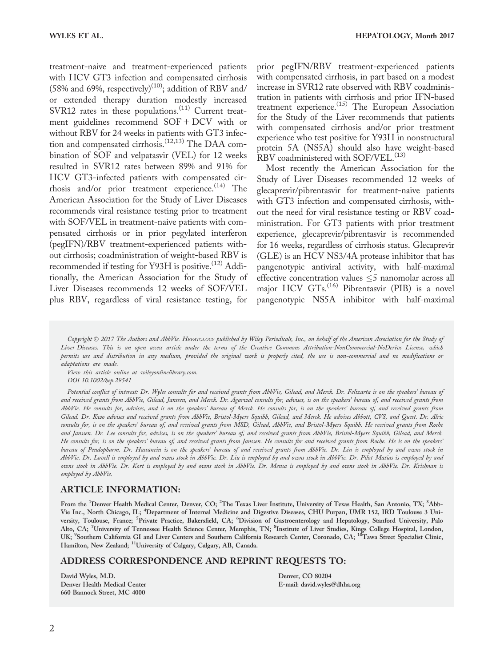treatment-naive and treatment-experienced patients with HCV GT3 infection and compensated cirrhosis (58% and 69%, respectively)<sup>(10)</sup>; addition of RBV and/ or extended therapy duration modestly increased SVR12 rates in these populations.<sup>(11)</sup> Current treatment guidelines recommend  $SOF + DCV$  with or without RBV for 24 weeks in patients with GT3 infection and compensated cirrhosis.<sup>(12,13)</sup> The DAA combination of SOF and velpatasvir (VEL) for 12 weeks resulted in SVR12 rates between 89% and 91% for HCV GT3-infected patients with compensated cirrhosis and/or prior treatment experience. $(14)$  The American Association for the Study of Liver Diseases recommends viral resistance testing prior to treatment with SOF/VEL in treatment-naive patients with compensated cirrhosis or in prior pegylated interferon (pegIFN)/RBV treatment-experienced patients without cirrhosis; coadministration of weight-based RBV is recommended if testing for Y93H is positive.<sup>(12)</sup> Additionally, the American Association for the Study of Liver Diseases recommends 12 weeks of SOF/VEL plus RBV, regardless of viral resistance testing, for

prior pegIFN/RBV treatment-experienced patients with compensated cirrhosis, in part based on a modest increase in SVR12 rate observed with RBV coadministration in patients with cirrhosis and prior IFN-based treatment experience.(15) The European Association for the Study of the Liver recommends that patients with compensated cirrhosis and/or prior treatment experience who test positive for Y93H in nonstructural protein 5A (NS5A) should also have weight-based RBV coadministered with SOF/VEL.<sup>(13)</sup>

Most recently the American Association for the Study of Liver Diseases recommended 12 weeks of glecaprevir/pibrentasvir for treatment-naive patients with GT3 infection and compensated cirrhosis, without the need for viral resistance testing or RBV coadministration. For GT3 patients with prior treatment experience, glecaprevir/pibrentasvir is recommended for 16 weeks, regardless of cirrhosis status. Glecaprevir (GLE) is an HCV NS3/4A protease inhibitor that has pangenotypic antiviral activity, with half-maximal effective concentration values  $\leq$ 5 nanomolar across all major HCV GTs.<sup>(16)</sup> Pibrentasvir (PIB) is a novel pangenotypic NS5A inhibitor with half-maximal

Copyright © 2017 The Authors and AbbVie. HEPATOLOGY published by Wiley Periodicals, Inc., on behalf of the American Association for the Study of Liver Diseases. This is an open access article under the terms of the [Creative Commons Attribution-NonCommercial-NoDerivs](http://creativecommons.org/licenses/by-nc-nd/4.0/) License, which permits use and distribution in any medium, provided the original work is properly cited, the use is non-commercial and no modifications or adaptations are made.

View this article online at wileyonlinelibrary.com. DOI 10.1002/hep.29541

Potential conflict of interest: Dr. Wyles consults for and received grants from AbbVie, Gilead, and Merck. Dr. Felizarta is on the speakers' bureau of and received grants from AbbVie, Gilead, Janssen, and Merck. Dr. Agarwal consults for, advises, is on the speakers' bureau of, and received grants from AbbVie. He consults for, advises, and is on the speakers' bureau of Merck. He consults for, is on the speakers' bureau of, and received grants from Gilead. Dr. Kwo advises and received grants from AbbVie, Bristol-Myers Squibb, Gilead, and Merck. He advises Abbott, CVS, and Quest. Dr. Alric consults for, is on the speakers' bureau of, and received grants from MSD, Gilead, AbbVie, and Bristol-Myers Squibb. He received grants from Roche and Janssen. Dr. Lee consults for, advises, is on the speakers' bureau of, and received grants from AbbVie, Bristol-Myers Squibb, Gilead, and Merck. He consults for, is on the speakers' bureau of, and received grants from Janssen. He consults for and received grants from Roche. He is on the speakers' bureau of Pendopharm. Dr. Hassanein is on the speakers' bureau of and received grants from AbbVie. Dr. Lin is employed by and owns stock in AbbVie. Dr. Lovell is employed by and owns stock in AbbVie. Dr. Liu is employed by and owns stock in AbbVie. Dr. Pilot-Matias is employed by and owns stock in AbbVie. Dr. Kort is employed by and owns stock in AbbVie. Dr. Mensa is employed by and owns stock in AbbVie. Dr. Krishnan is employed by AbbVie.

#### ARTICLE INFORMATION:

From the <sup>1</sup>Denver Health Medical Center, Denver, CO; <sup>2</sup>The Texas Liver Institute, University of Texas Health, San Antonio, TX; <sup>3</sup>Abb-Vie Inc., North Chicago, IL; <sup>4</sup> Department of Internal Medicine and Digestive Diseases, CHU Purpan, UMR 152, IRD Toulouse 3 University, Toulouse, France; <sup>5</sup>Private Practice, Bakersfield, CA; <sup>6</sup>Division of Gastroenterology and Hepatology, Stanford University, Palo Alto, CA; <sup>7</sup>University of Tennessee Health Science Center, Memphis, TN; <sup>8</sup>Institute of Liver Studies, Kings College Hospital, London,<br>UK; <sup>9</sup>Southern California GI and Liver Centers and Southern California Research Cente Hamilton, New Zealand; 11University of Calgary, Calgary, AB, Canada.

#### ADDRESS CORRESPONDENCE AND REPRINT REQUESTS TO:

David Wyles, M.D. Denver Health Medical Center 660 Bannock Street, MC 4000

Denver, CO 80204 E-mail: david.wyles@dhha.org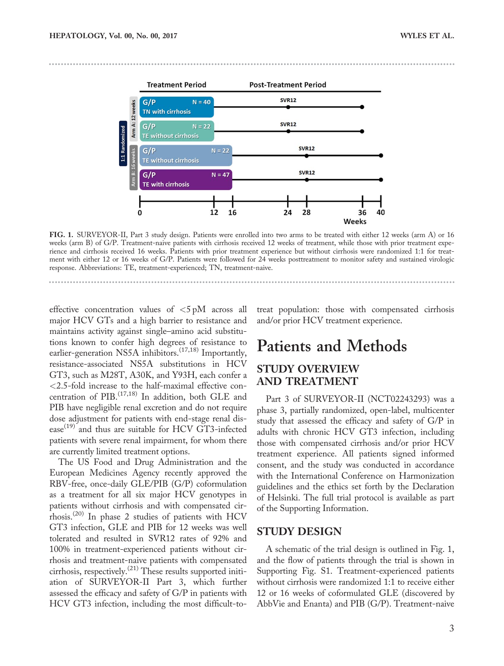

FIG. 1. SURVEYOR-II, Part 3 study design. Patients were enrolled into two arms to be treated with either 12 weeks (arm A) or 16 weeks (arm B) of G/P. Treatment-naive patients with cirrhosis received 12 weeks of treatment, while those with prior treatment experience and cirrhosis received 16 weeks. Patients with prior treatment experience but without cirrhosis were randomized 1:1 for treatment with either 12 or 16 weeks of G/P. Patients were followed for 24 weeks posttreatment to monitor safety and sustained virologic response. Abbreviations: TE, treatment-experienced; TN, treatment-naive.

effective concentration values of <5 pM across all major HCV GTs and a high barrier to resistance and maintains activity against single–amino acid substitutions known to confer high degrees of resistance to earlier-generation NS5A inhibitors.<sup>(17,18)</sup> Importantly, resistance-associated NS5A substitutions in HCV GT3, such as M28T, A30K, and Y93H, each confer a <2.5-fold increase to the half-maximal effective concentration of PIB. $(17,18)$  In addition, both GLE and PIB have negligible renal excretion and do not require dose adjustment for patients with end-stage renal disease<sup>(19)</sup> and thus are suitable for HCV GT3-infected patients with severe renal impairment, for whom there are currently limited treatment options.

The US Food and Drug Administration and the European Medicines Agency recently approved the RBV-free, once-daily GLE/PIB (G/P) coformulation as a treatment for all six major HCV genotypes in patients without cirrhosis and with compensated cirrhosis.(20) In phase 2 studies of patients with HCV GT3 infection, GLE and PIB for 12 weeks was well tolerated and resulted in SVR12 rates of 92% and 100% in treatment-experienced patients without cirrhosis and treatment-naive patients with compensated cirrhosis, respectively.<sup> $(21)$ </sup> These results supported initiation of SURVEYOR-II Part 3, which further assessed the efficacy and safety of G/P in patients with HCV GT3 infection, including the most difficult-totreat population: those with compensated cirrhosis and/or prior HCV treatment experience.

## Patients and Methods

### STUDY OVERVIEW AND TREATMENT

Part 3 of SURVEYOR-II (NCT02243293) was a phase 3, partially randomized, open-label, multicenter study that assessed the efficacy and safety of G/P in adults with chronic HCV GT3 infection, including those with compensated cirrhosis and/or prior HCV treatment experience. All patients signed informed consent, and the study was conducted in accordance with the International Conference on Harmonization guidelines and the ethics set forth by the Declaration of Helsinki. The full trial protocol is available as part of the [Supporting Information](http://onlinelibrary.wiley.com/doi/10.1002/hep.29541/suppinfo).

#### STUDY DESIGN

A schematic of the trial design is outlined in Fig. 1, and the flow of patients through the trial is shown in [Supporting Fig. S1](http://onlinelibrary.wiley.com/doi/10.1002/hep.29541/suppinfo). Treatment-experienced patients without cirrhosis were randomized 1:1 to receive either 12 or 16 weeks of coformulated GLE (discovered by AbbVie and Enanta) and PIB (G/P). Treatment-naive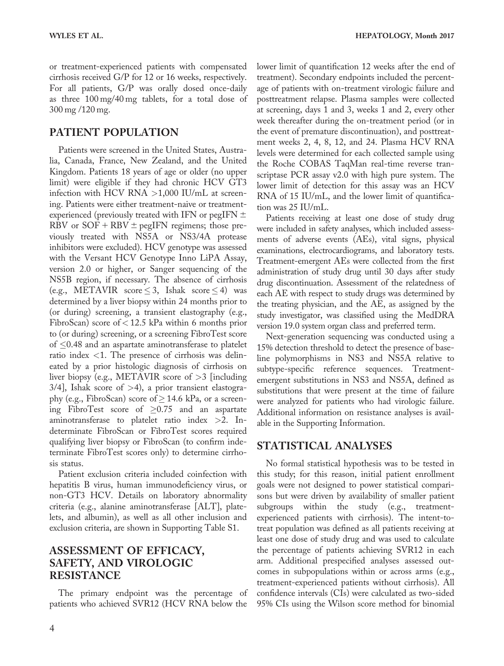or treatment-experienced patients with compensated cirrhosis received G/P for 12 or 16 weeks, respectively. For all patients, G/P was orally dosed once-daily as three 100 mg/40 mg tablets, for a total dose of 300 mg /120 mg.

### PATIENT POPULATION

Patients were screened in the United States, Australia, Canada, France, New Zealand, and the United Kingdom. Patients 18 years of age or older (no upper limit) were eligible if they had chronic HCV GT3 infection with HCV RNA  $>1,000$  IU/mL at screening. Patients were either treatment-naive or treatmentexperienced (previously treated with IFN or pegIFN  $\pm$ RBV or  $SOF + RBV \pm pegIFN$  regimens; those previously treated with NS5A or NS3/4A protease inhibitors were excluded). HCV genotype was assessed with the Versant HCV Genotype Inno LiPA Assay, version 2.0 or higher, or Sanger sequencing of the NS5B region, if necessary. The absence of cirrhosis (e.g., METAVIR score  $\leq$  3, Ishak score  $\leq$  4) was determined by a liver biopsy within 24 months prior to (or during) screening, a transient elastography (e.g., FibroScan) score of < 12.5 kPa within 6 months prior to (or during) screening, or a screening FibroTest score of  $\leq$ 0.48 and an aspartate aminotransferase to platelet ratio index <1. The presence of cirrhosis was delineated by a prior histologic diagnosis of cirrhosis on liver biopsy (e.g., METAVIR score of >3 [including  $3/4$ ], Ishak score of  $>4$ ), a prior transient elastography (e.g., FibroScan) score of  $\geq$  14.6 kPa, or a screening FibroTest score of  $\geq 0.75$  and an aspartate aminotransferase to platelet ratio index >2. Indeterminate FibroScan or FibroTest scores required qualifying liver biopsy or FibroScan (to confirm indeterminate FibroTest scores only) to determine cirrhosis status.

Patient exclusion criteria included coinfection with hepatitis B virus, human immunodeficiency virus, or non-GT3 HCV. Details on laboratory abnormality criteria (e.g., alanine aminotransferase [ALT], platelets, and albumin), as well as all other inclusion and exclusion criteria, are shown in [Supporting Table S1.](http://onlinelibrary.wiley.com/doi/10.1002/hep.29541/suppinfo)

## ASSESSMENT OF EFFICACY, SAFETY, AND VIROLOGIC RESISTANCE

The primary endpoint was the percentage of patients who achieved SVR12 (HCV RNA below the

lower limit of quantification 12 weeks after the end of treatment). Secondary endpoints included the percentage of patients with on-treatment virologic failure and posttreatment relapse. Plasma samples were collected at screening, days 1 and 3, weeks 1 and 2, every other week thereafter during the on-treatment period (or in the event of premature discontinuation), and posttreatment weeks 2, 4, 8, 12, and 24. Plasma HCV RNA levels were determined for each collected sample using the Roche COBAS TaqMan real-time reverse transcriptase PCR assay v2.0 with high pure system. The lower limit of detection for this assay was an HCV RNA of 15 IU/mL, and the lower limit of quantification was 25 IU/mL.

Patients receiving at least one dose of study drug were included in safety analyses, which included assessments of adverse events (AEs), vital signs, physical examinations, electrocardiograms, and laboratory tests. Treatment-emergent AEs were collected from the first administration of study drug until 30 days after study drug discontinuation. Assessment of the relatedness of each AE with respect to study drugs was determined by the treating physician, and the AE, as assigned by the study investigator, was classified using the MedDRA version 19.0 system organ class and preferred term.

Next-generation sequencing was conducted using a 15% detection threshold to detect the presence of baseline polymorphisms in NS3 and NS5A relative to subtype-specific reference sequences. Treatmentemergent substitutions in NS3 and NS5A, defined as substitutions that were present at the time of failure were analyzed for patients who had virologic failure. Additional information on resistance analyses is available in the [Supporting Information](http://onlinelibrary.wiley.com/doi/10.1002/hep.29541/suppinfo).

#### STATISTICAL ANALYSES

No formal statistical hypothesis was to be tested in this study; for this reason, initial patient enrollment goals were not designed to power statistical comparisons but were driven by availability of smaller patient subgroups within the study (e.g., treatmentexperienced patients with cirrhosis). The intent-totreat population was defined as all patients receiving at least one dose of study drug and was used to calculate the percentage of patients achieving SVR12 in each arm. Additional prespecified analyses assessed outcomes in subpopulations within or across arms (e.g., treatment-experienced patients without cirrhosis). All confidence intervals (CIs) were calculated as two-sided 95% CIs using the Wilson score method for binomial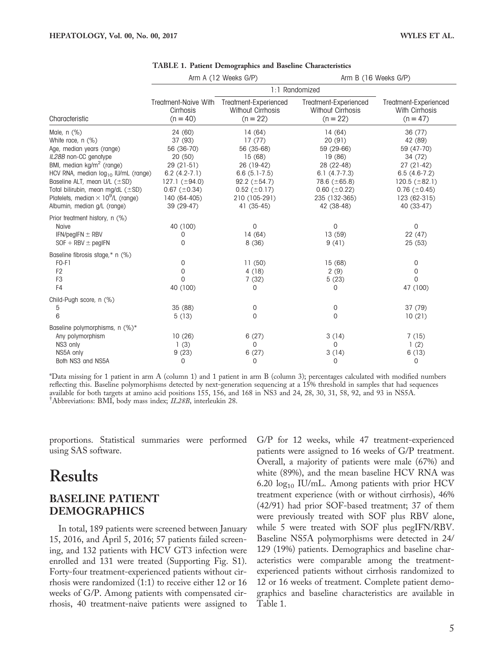|                                                                                                                                                                                                                                                                                                                                                 |                                                                                                                                                      | Arm A (12 Weeks G/P)                                                                                                                                | Arm B (16 Weeks G/P)                                                                                                                                 |                                                                                                                                                         |  |  |
|-------------------------------------------------------------------------------------------------------------------------------------------------------------------------------------------------------------------------------------------------------------------------------------------------------------------------------------------------|------------------------------------------------------------------------------------------------------------------------------------------------------|-----------------------------------------------------------------------------------------------------------------------------------------------------|------------------------------------------------------------------------------------------------------------------------------------------------------|---------------------------------------------------------------------------------------------------------------------------------------------------------|--|--|
|                                                                                                                                                                                                                                                                                                                                                 | 1:1 Randomized                                                                                                                                       |                                                                                                                                                     |                                                                                                                                                      |                                                                                                                                                         |  |  |
| Characteristic                                                                                                                                                                                                                                                                                                                                  | Treatment-Naive With<br>Cirrhosis<br>$(n = 40)$                                                                                                      | Treatment-Experienced<br><b>Without Cirrhosis</b><br>$(n = 22)$                                                                                     | Treatment-Experienced<br><b>Without Cirrhosis</b><br>$(n = 22)$                                                                                      | Treatment-Experienced<br>With Cirrhosis<br>$(n = 47)$                                                                                                   |  |  |
| Male, n (%)<br>White race, n (%)<br>Age, median years (range)<br>IL28B non-CC genotype<br>BMI, median kg/m <sup>2</sup> (range)<br>HCV RNA, median log <sub>10</sub> IU/mL (range)<br>Baseline ALT, mean U/L (±SD)<br>Total bilirubin, mean mg/dL (±SD)<br>Platelets, median $\times$ 10 <sup>9</sup> /L (range)<br>Albumin, median g/L (range) | 24 (60)<br>37 (93)<br>56 (36-70)<br>20(50)<br>$29(21-51)$<br>$6.2(4.2-7.1)$<br>127.1 $(\pm 94.0)$<br>$0.67 (\pm 0.34)$<br>140 (64-405)<br>39 (29-47) | 14(64)<br>17(77)<br>56 (35-68)<br>15(68)<br>26 (19-42)<br>$6.6(5.1-7.5)$<br>92.2 $(\pm 54.7)$<br>$0.52 \ (\pm 0.17)$<br>210 (105-291)<br>41 (35-45) | 14(64)<br>20(91)<br>59 (29-66)<br>19(86)<br>28 (22-48)<br>$6.1 (4.7 - 7.3)$<br>78.6 $(\pm 65.8)$<br>$0.60~(\pm 0.22)$<br>235 (132-365)<br>42 (38-48) | 36(77)<br>42 (89)<br>59 (47-70)<br>34 (72)<br>$27(21-42)$<br>$6.5(4.6-7.2)$<br>120.5 $(\pm 82.1)$<br>$0.76$ ( $\pm$ 0.45)<br>123 (62-315)<br>40 (33-47) |  |  |
| Prior treatment history, n (%)<br>Naive<br>IFN/pegIFN $\pm$ RBV<br>$SOF + RBV \pm$ pegIFN                                                                                                                                                                                                                                                       | 40 (100)<br>0<br>0                                                                                                                                   | $\mathbf 0$<br>14(64)<br>8(36)                                                                                                                      | 0<br>13(59)<br>9(41)                                                                                                                                 | $\mathbf 0$<br>22 (47)<br>25(53)                                                                                                                        |  |  |
| Baseline fibrosis stage,* n (%)<br>$FO-F1$<br>F <sub>2</sub><br>F <sub>3</sub><br>F4                                                                                                                                                                                                                                                            | 0<br>0<br>$\Omega$<br>40 (100)                                                                                                                       | 11(50)<br>4(18)<br>7(32)<br>0                                                                                                                       | 15(68)<br>2(9)<br>5(23)<br>0                                                                                                                         | 0<br>0<br>$\Omega$<br>47 (100)                                                                                                                          |  |  |
| Child-Pugh score, n (%)<br>5<br>6                                                                                                                                                                                                                                                                                                               | 35 (88)<br>5(13)                                                                                                                                     | 0<br>0                                                                                                                                              | 0<br>0                                                                                                                                               | 37(79)<br>10(21)                                                                                                                                        |  |  |
| Baseline polymorphisms, n (%)*<br>Any polymorphism<br>NS3 only<br>NS5A only<br>Both NS3 and NS5A                                                                                                                                                                                                                                                | 10(26)<br>1(3)<br>9(23)<br>0                                                                                                                         | 6(27)<br>$\Omega$<br>6(27)<br>0                                                                                                                     | 3(14)<br>$\Omega$<br>3(14)<br>0                                                                                                                      | 7(15)<br>1(2)<br>6(13)<br>0                                                                                                                             |  |  |

#### TABLE 1. Patient Demographics and Baseline Characteristics

\*Data missing for 1 patient in arm A (column 1) and 1 patient in arm B (column 3); percentages calculated with modified numbers reflecting this. Baseline polymorphisms detected by next-generation sequencing at a 15% threshold in samples that had sequences available for both targets at amino acid positions 155, 156, and 168 in NS3 and 24, 28, 30, 31, 58, 92, and 93 in NS5A. † Abbreviations: BMI, body mass index; IL28B, interleukin 28.

proportions. Statistical summaries were performed using SAS software.

## Results

## BASELINE PATIENT DEMOGRAPHICS

In total, 189 patients were screened between January 15, 2016, and April 5, 2016; 57 patients failed screening, and 132 patients with HCV GT3 infection were enrolled and 131 were treated ([Supporting Fig. S1\)](http://onlinelibrary.wiley.com/doi/10.1002/hep.29541/suppinfo). Forty-four treatment-experienced patients without cirrhosis were randomized (1:1) to receive either 12 or 16 weeks of G/P. Among patients with compensated cirrhosis, 40 treatment-naive patients were assigned to

G/P for 12 weeks, while 47 treatment-experienced patients were assigned to 16 weeks of G/P treatment. Overall, a majority of patients were male (67%) and white (89%), and the mean baseline HCV RNA was 6.20 log<sub>10</sub> IU/mL. Among patients with prior HCV treatment experience (with or without cirrhosis), 46% (42/91) had prior SOF-based treatment; 37 of them were previously treated with SOF plus RBV alone, while 5 were treated with SOF plus pegIFN/RBV. Baseline NS5A polymorphisms were detected in 24/ 129 (19%) patients. Demographics and baseline characteristics were comparable among the treatmentexperienced patients without cirrhosis randomized to 12 or 16 weeks of treatment. Complete patient demographics and baseline characteristics are available in Table 1.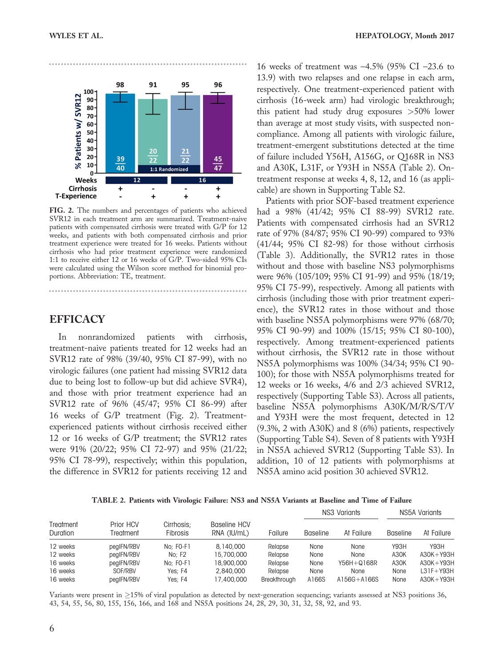

FIG. 2. The numbers and percentages of patients who achieved SVR12 in each treatment arm are summarized. Treatment-naive patients with compensated cirrhosis were treated with G/P for 12 weeks, and patients with both compensated cirrhosis and prior treatment experience were treated for 16 weeks. Patients without cirrhosis who had prior treatment experience were randomized 1:1 to receive either 12 or 16 weeks of G/P. Two-sided 95% CIs were calculated using the Wilson score method for binomial proportions. Abbreviation: TE, treatment.

#### EFFICACY

In nonrandomized patients with cirrhosis, treatment-naive patients treated for 12 weeks had an SVR12 rate of 98% (39/40, 95% CI 87-99), with no virologic failures (one patient had missing SVR12 data due to being lost to follow-up but did achieve SVR4), and those with prior treatment experience had an SVR12 rate of 96% (45/47; 95% CI 86-99) after 16 weeks of G/P treatment (Fig. 2). Treatmentexperienced patients without cirrhosis received either 12 or 16 weeks of G/P treatment; the SVR12 rates were 91% (20/22; 95% CI 72-97) and 95% (21/22; 95% CI 78-99), respectively; within this population, the difference in SVR12 for patients receiving 12 and

16 weeks of treatment was  $-4.5\%$  (95% CI  $-23.6$  to 13.9) with two relapses and one relapse in each arm, respectively. One treatment-experienced patient with cirrhosis (16-week arm) had virologic breakthrough; this patient had study drug exposures >50% lower than average at most study visits, with suspected noncompliance. Among all patients with virologic failure, treatment-emergent substitutions detected at the time of failure included Y56H, A156G, or Q168R in NS3 and A30K, L31F, or Y93H in NS5A (Table 2). Ontreatment response at weeks 4, 8, 12, and 16 (as applicable) are shown in [Supporting Table S2.](http://onlinelibrary.wiley.com/doi/10.1002/hep.29541/suppinfo)

Patients with prior SOF-based treatment experience had a 98% (41/42; 95% CI 88-99) SVR12 rate. Patients with compensated cirrhosis had an SVR12 rate of 97% (84/87; 95% CI 90-99) compared to 93% (41/44; 95% CI 82-98) for those without cirrhosis (Table 3). Additionally, the SVR12 rates in those without and those with baseline NS3 polymorphisms were 96% (105/109; 95% CI 91-99) and 95% (18/19; 95% CI 75-99), respectively. Among all patients with cirrhosis (including those with prior treatment experience), the SVR12 rates in those without and those with baseline NS5A polymorphisms were 97% (68/70; 95% CI 90-99) and 100% (15/15; 95% CI 80-100), respectively. Among treatment-experienced patients without cirrhosis, the SVR12 rate in those without NS5A polymorphisms was 100% (34/34; 95% CI 90- 100); for those with NS5A polymorphisms treated for 12 weeks or 16 weeks, 4/6 and 2/3 achieved SVR12, respectively [\(Supporting Table S3](http://onlinelibrary.wiley.com/doi/10.1002/hep.29541/suppinfo)). Across all patients, baseline NS5A polymorphisms A30K/M/R/S/T/V and Y93H were the most frequent, detected in 12 (9.3%, 2 with A30K) and 8 (6%) patients, respectively ([Supporting Table S4](http://onlinelibrary.wiley.com/doi/10.1002/hep.29541/suppinfo)). Seven of 8 patients with Y93H in NS5A achieved SVR12 [\(Supporting Table S3\)](http://onlinelibrary.wiley.com/doi/10.1002/hep.29541/suppinfo). In addition, 10 of 12 patients with polymorphisms at NS5A amino acid position 30 achieved SVR12.

TABLE 2. Patients with Virologic Failure: NS3 and NS5A Variants at Baseline and Time of Failure

| Prior HCV<br>Treatment<br>Duration<br>Treatment |            |                               |                             | NS3 Variants |                 | NS5A Variants |                 |               |
|-------------------------------------------------|------------|-------------------------------|-----------------------------|--------------|-----------------|---------------|-----------------|---------------|
|                                                 |            | Cirrhosis:<br><b>Fibrosis</b> | Baseline HCV<br>RNA (IU/mL) | Failure      | <b>Baseline</b> | At Failure    | <b>Baseline</b> | At Failure    |
| 12 weeks                                        | pegIFN/RBV | $No: FO-F1$                   | 8,140,000                   | Relapse      | None            | None          | Y93H            | Y93H          |
| 12 weeks                                        | pegIFN/RBV | No: F2                        | 15,700,000                  | Relapse      | None            | None          | A30K            | $A30K + Y93H$ |
| 16 weeks                                        | pegIFN/RBV | $No: FO-F1$                   | 18,900,000                  | Relapse      | None            | Y56H+Q168R    | A30K            | $A30K + Y93H$ |
| 16 weeks                                        | SOF/RBV    | Yes: F4                       | 2,840,000                   | Relapse      | None            | None          | None            | $L31F+Y93H$   |
| 16 weeks                                        | pegIFN/RBV | Yes: F4                       | 17,400,000                  | Breakthrough | A166S           | A156G+A166S   | None            | $A30K + Y93H$ |

Variants were present in  $\geq$ 15% of viral population as detected by next-generation sequencing; variants assessed at NS3 positions 36, 43, 54, 55, 56, 80, 155, 156, 166, and 168 and NS5A positions 24, 28, 29, 30, 31, 32, 58, 92, and 93.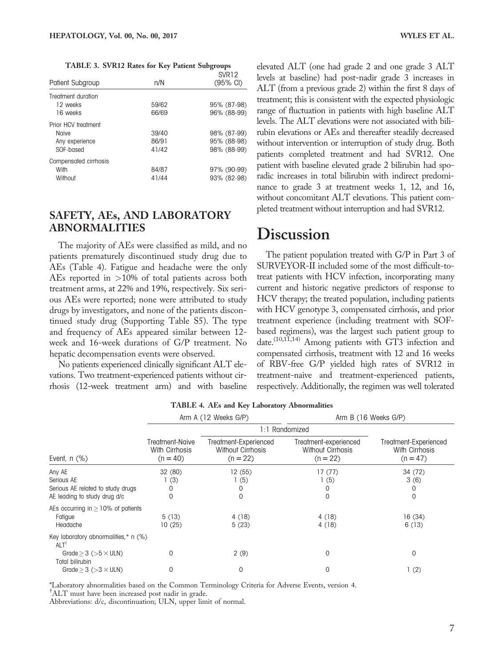| TABLE 3. SVR12 Rates for Key Patient Subgroups |  |  |  |
|------------------------------------------------|--|--|--|
|------------------------------------------------|--|--|--|

| Patient Subgroup      | n/N   | <b>SVR12</b><br>$(95\% \, \text{Cl})$ |
|-----------------------|-------|---------------------------------------|
| Treatment duration    |       |                                       |
| 12 weeks              | 59/62 | 95% (87-98)                           |
| 16 weeks              | 66/69 | 96% (88-99)                           |
| Prior HCV treatment   |       |                                       |
| Naive                 | 39/40 | 98% (87-99)                           |
| Any experience        | 86/91 | 95% (88-98)                           |
| SOF-based             | 41/42 | 98% (88-99)                           |
| Compensated cirrhosis |       |                                       |
| With                  | 84/87 | 97% (90-99)                           |
| Without               | 41/44 | 93% (82-98)                           |

## SAFETY, AEs, AND LABORATORY ABNORMALITIES

The majority of AEs were classified as mild, and no patients prematurely discontinued study drug due to AEs (Table 4). Fatigue and headache were the only AEs reported in >10% of total patients across both treatment arms, at 22% and 19%, respectively. Six serious AEs were reported; none were attributed to study drugs by investigators, and none of the patients discontinued study drug ([Supporting Table S5\)](http://onlinelibrary.wiley.com/doi/10.1002/hep.29541/suppinfo). The type and frequency of AEs appeared similar between 12 week and 16-week durations of G/P treatment. No hepatic decompensation events were observed.

No patients experienced clinically significant ALT elevations. Two treatment-experienced patients without cirrhosis (12-week treatment arm) and with baseline elevated ALT (one had grade 2 and one grade 3 ALT levels at baseline) had post-nadir grade 3 increases in ALT (from a previous grade 2) within the first 8 days of treatment; this is consistent with the expected physiologic range of fluctuation in patients with high baseline ALT levels. The ALT elevations were not associated with bilirubin elevations or AEs and thereafter steadily decreased without intervention or interruption of study drug. Both patients completed treatment and had SVR12. One patient with baseline elevated grade 2 bilirubin had sporadic increases in total bilirubin with indirect predominance to grade 3 at treatment weeks 1, 12, and 16, without concomitant ALT elevations. This patient completed treatment without interruption and had SVR12.

## **Discussion**

The patient population treated with G/P in Part 3 of SURVEYOR-II included some of the most difficult-totreat patients with HCV infection, incorporating many current and historic negative predictors of response to HCV therapy; the treated population, including patients with HCV genotype 3, compensated cirrhosis, and prior treatment experience (including treatment with SOFbased regimens), was the largest such patient group to date.<sup>(10,11</sup>,14) Among patients with GT3 infection and compensated cirrhosis, treatment with 12 and 16 weeks of RBV-free G/P yielded high rates of SVR12 in treatment-naive and treatment-experienced patients, respectively. Additionally, the regimen was well tolerated

|                                                                                                                                                       | Arm A (12 Weeks G/P)                            |                                                                 | Arm B (16 Weeks G/P)                                            |                                                       |  |
|-------------------------------------------------------------------------------------------------------------------------------------------------------|-------------------------------------------------|-----------------------------------------------------------------|-----------------------------------------------------------------|-------------------------------------------------------|--|
| Event, $n$ $(\%)$                                                                                                                                     |                                                 | 1:1 Randomized                                                  |                                                                 |                                                       |  |
|                                                                                                                                                       | Treatment-Naive<br>With Cirrhosis<br>$(n = 40)$ | Treatment-Experienced<br><b>Without Cirrhosis</b><br>$(n = 22)$ | Treatment-experienced<br><b>Without Cirrhosis</b><br>$(n = 22)$ | Treatment-Experienced<br>With Cirrhosis<br>$(n = 47)$ |  |
| Any AE<br>Serious AE<br>Serious AE related to study drugs<br>AE leading to study drug d/c                                                             | 32 (80)<br>1(3)<br>0<br>0                       | 12(55)<br>(5)<br>0                                              | 17(77)<br>1(5)<br>0                                             | 34 (72)<br>3(6)<br>$\Omega$                           |  |
| AEs occurring in $>10\%$ of patients<br>Fatigue<br>Headache                                                                                           | 5(13)<br>10(25)                                 | 4(18)<br>5(23)                                                  | 4(18)<br>4(18)                                                  | 16(34)<br>6(13)                                       |  |
| Key laboratory abnormalities,* n (%)<br>$ALT$ <sup>1</sup><br>Grade $> 3$ ( $> 5 \times$ ULN)<br>Total bilirubin<br>Grade $>$ 3 ( $>$ 3 $\times$ ULN) | 0<br>0                                          | 2(9)<br>0                                                       | $\Omega$<br>0                                                   | $\Omega$<br>1(2)                                      |  |

#### TABLE 4. AEs and Key Laboratory Abnormalities

\*Laboratory abnormalities based on the Common Terminology Criteria for Adverse Events, version 4.

† ALT must have been increased post nadir in grade.

Abbreviations: d/c, discontinuation; ULN, upper limit of normal.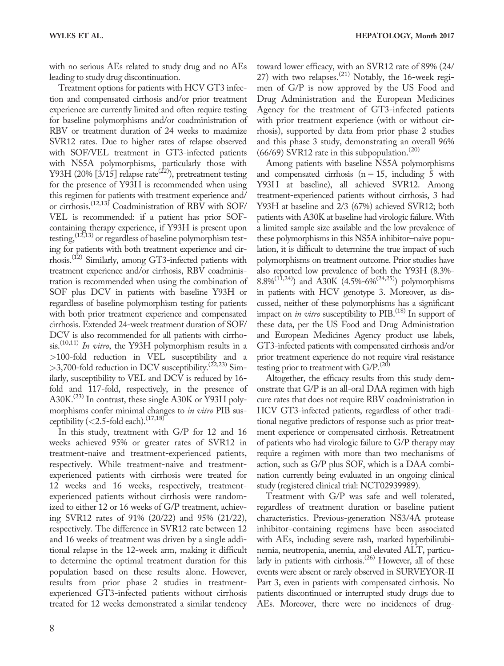with no serious AEs related to study drug and no AEs leading to study drug discontinuation.

Treatment options for patients with HCV GT3 infection and compensated cirrhosis and/or prior treatment experience are currently limited and often require testing for baseline polymorphisms and/or coadministration of RBV or treatment duration of 24 weeks to maximize SVR12 rates. Due to higher rates of relapse observed with SOF/VEL treatment in GT3-infected patients with NS5A polymorphisms, particularly those with Y93H (20%  $[3/15]$  relapse rate<sup>(22)</sup>), pretreatment testing for the presence of Y93H is recommended when using this regimen for patients with treatment experience and/ or cirrhosis.(12,13) Coadministration of RBV with SOF/ VEL is recommended: if a patient has prior SOFcontaining therapy experience, if Y93H is present upon testing,  $(12,13)$  or regardless of baseline polymorphism testing for patients with both treatment experience and cirrhosis.(12) Similarly, among GT3-infected patients with treatment experience and/or cirrhosis, RBV coadministration is recommended when using the combination of SOF plus DCV in patients with baseline Y93H or regardless of baseline polymorphism testing for patients with both prior treatment experience and compensated cirrhosis. Extended 24-week treatment duration of SOF/ DCV is also recommended for all patients with cirrhosis.<sup>(10,11)</sup> In vitro, the Y93H polymorphism results in a >100-fold reduction in VEL susceptibility and a  $>$ 3,700-fold reduction in DCV susceptibility.<sup>(22,23)</sup> Similarly, susceptibility to VEL and DCV is reduced by 16 fold and 117-fold, respectively, in the presence of A30K.<sup>(23)</sup> In contrast, these single A30K or Y93H polymorphisms confer minimal changes to in vitro PIB susceptibility (<2.5-fold each). $(17,18)$ 

In this study, treatment with G/P for 12 and 16 weeks achieved 95% or greater rates of SVR12 in treatment-naive and treatment-experienced patients, respectively. While treatment-naive and treatmentexperienced patients with cirrhosis were treated for 12 weeks and 16 weeks, respectively, treatmentexperienced patients without cirrhosis were randomized to either 12 or 16 weeks of G/P treatment, achieving SVR12 rates of 91% (20/22) and 95% (21/22), respectively. The difference in SVR12 rate between 12 and 16 weeks of treatment was driven by a single additional relapse in the 12-week arm, making it difficult to determine the optimal treatment duration for this population based on these results alone. However, results from prior phase 2 studies in treatmentexperienced GT3-infected patients without cirrhosis treated for 12 weeks demonstrated a similar tendency toward lower efficacy, with an SVR12 rate of 89% (24/ 27) with two relapses.<sup>(21)</sup> Notably, the 16-week regimen of G/P is now approved by the US Food and Drug Administration and the European Medicines Agency for the treatment of GT3-infected patients with prior treatment experience (with or without cirrhosis), supported by data from prior phase 2 studies and this phase 3 study, demonstrating an overall 96%  $(66/69)$  SVR12 rate in this subpopulation.<sup>(20)</sup>

Among patients with baseline NS5A polymorphisms and compensated cirrhosis  $(n = 15,$  including 5 with Y93H at baseline), all achieved SVR12. Among treatment-experienced patients without cirrhosis, 3 had Y93H at baseline and 2/3 (67%) achieved SVR12; both patients with A30K at baseline had virologic failure. With a limited sample size available and the low prevalence of these polymorphisms in this NS5A inhibitor–naive population, it is difficult to determine the true impact of such polymorphisms on treatment outcome. Prior studies have also reported low prevalence of both the Y93H (8.3%- 8.8%<sup>(11,24)</sup>) and A30K (4.5%-6%<sup>(24,25)</sup>) polymorphisms in patients with HCV genotype 3. Moreover, as discussed, neither of these polymorphisms has a significant impact on *in vitro* susceptibility to  $PIB<sup>(18)</sup>$  In support of these data, per the US Food and Drug Administration and European Medicines Agency product use labels, GT3-infected patients with compensated cirrhosis and/or prior treatment experience do not require viral resistance testing prior to treatment with  $G/P<sup>(20)</sup>$ 

Altogether, the efficacy results from this study demonstrate that G/P is an all-oral DAA regimen with high cure rates that does not require RBV coadministration in HCV GT3-infected patients, regardless of other traditional negative predictors of response such as prior treatment experience or compensated cirrhosis. Retreatment of patients who had virologic failure to G/P therapy may require a regimen with more than two mechanisms of action, such as G/P plus SOF, which is a DAA combination currently being evaluated in an ongoing clinical study (registered clinical trial: NCT02939989).

Treatment with G/P was safe and well tolerated, regardless of treatment duration or baseline patient characteristics. Previous-generation NS3/4A protease inhibitor–containing regimens have been associated with AEs, including severe rash, marked hyperbilirubinemia, neutropenia, anemia, and elevated ALT, particularly in patients with cirrhosis.<sup> $(26)$ </sup> However, all of these events were absent or rarely observed in SURVEYOR-II Part 3, even in patients with compensated cirrhosis. No patients discontinued or interrupted study drugs due to AEs. Moreover, there were no incidences of drug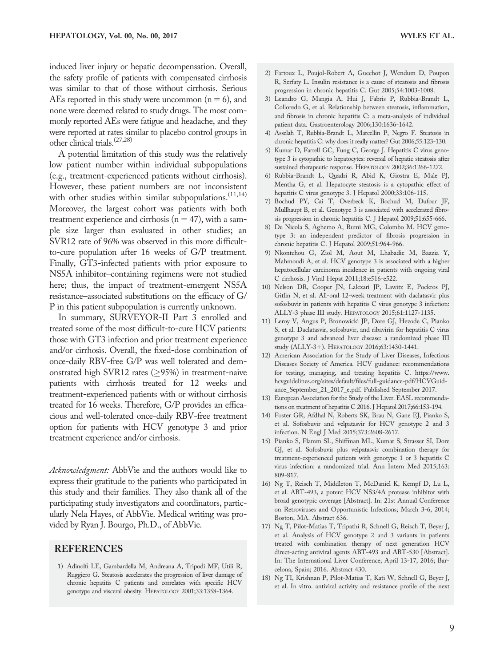induced liver injury or hepatic decompensation. Overall, the safety profile of patients with compensated cirrhosis was similar to that of those without cirrhosis. Serious AEs reported in this study were uncommon  $(n = 6)$ , and none were deemed related to study drugs. The most commonly reported AEs were fatigue and headache, and they were reported at rates similar to placebo control groups in other clinical trials.(27,28)

A potential limitation of this study was the relatively low patient number within individual subpopulations (e.g., treatment-experienced patients without cirrhosis). However, these patient numbers are not inconsistent with other studies within similar subpopulations. $(11,14)$ Moreover, the largest cohort was patients with both treatment experience and cirrhosis ( $n = 47$ ), with a sample size larger than evaluated in other studies; an SVR12 rate of 96% was observed in this more difficultto-cure population after 16 weeks of G/P treatment. Finally, GT3-infected patients with prior exposure to NS5A inhibitor–containing regimens were not studied here; thus, the impact of treatment-emergent NS5A resistance–associated substitutions on the efficacy of G/ P in this patient subpopulation is currently unknown.

In summary, SURVEYOR-II Part 3 enrolled and treated some of the most difficult-to-cure HCV patients: those with GT3 infection and prior treatment experience and/or cirrhosis. Overall, the fixed-dose combination of once-daily RBV-free G/P was well tolerated and demonstrated high SVR12 rates ( $\geq$ 95%) in treatment-naive patients with cirrhosis treated for 12 weeks and treatment-experienced patients with or without cirrhosis treated for 16 weeks. Therefore, G/P provides an efficacious and well-tolerated once-daily RBV-free treatment option for patients with HCV genotype 3 and prior treatment experience and/or cirrhosis.

Acknowledgment: AbbVie and the authors would like to express their gratitude to the patients who participated in this study and their families. They also thank all of the participating study investigators and coordinators, particularly Nela Hayes, of AbbVie. Medical writing was provided by Ryan J. Bourgo, Ph.D., of AbbVie.

#### **REFERENCES**

1) Adinolfi LE, Gambardella M, Andreana A, Tripodi MF, Utili R, Ruggiero G. Steatosis accelerates the progression of liver damage of chronic hepatitis C patients and correlates with specific HCV genotype and visceral obesity. HEPATOLOGY 2001;33:1358-1364.

- 2) Fartoux L, Poujol-Robert A, Guechot J, Wendum D, Poupon R, Serfaty L. Insulin resistance is a cause of steatosis and fibrosis progression in chronic hepatitis C. Gut 2005;54:1003-1008.
- 3) Leandro G, Mangia A, Hui J, Fabris P, Rubbia-Brandt L, Colloredo G, et al. Relationship between steatosis, inflammation, and fibrosis in chronic hepatitis C: a meta-analysis of individual patient data. Gastroenterology 2006;130:1636-1642.
- 4) Asselah T, Rubbia-Brandt L, Marcellin P, Negro F. Steatosis in chronic hepatitis C: why does it really matter? Gut 2006;55:123-130.
- 5) Kumar D, Farrell GC, Fung C, George J. Hepatitis C virus genotype 3 is cytopathic to hepatocytes: reversal of hepatic steatosis after sustained therapeutic response. HEPATOLOGY 2002;36:1266-1272.
- 6) Rubbia-Brandt L, Quadri R, Abid K, Giostra E, Male PJ, Mentha G, et al. Hepatocyte steatosis is a cytopathic effect of hepatitis C virus genotype 3. J Hepatol 2000;33:106-115.
- 7) Bochud PY, Cai T, Overbeck K, Bochud M, Dufour JF, Mullhaupt B, et al. Genotype 3 is associated with accelerated fibrosis progression in chronic hepatitis C. J Hepatol 2009;51:655-666.
- 8) De Nicola S, Aghemo A, Rumi MG, Colombo M. HCV genotype 3: an independent predictor of fibrosis progression in chronic hepatitis C. J Hepatol 2009;51:964-966.
- 9) Nkontchou G, Ziol M, Aout M, Lhabadie M, Baazia Y, Mahmoudi A, et al. HCV genotype 3 is associated with a higher hepatocellular carcinoma incidence in patients with ongoing viral C cirrhosis. J Viral Hepat 2011;18:e516-e522.
- 10) Nelson DR, Cooper JN, Lalezari JP, Lawitz E, Pockros PJ, Gitlin N, et al. All-oral 12-week treatment with daclatasvir plus sofosbuvir in patients with hepatitis C virus genotype 3 infection: ALLY-3 phase III study. HEPATOLOGY 2015;61:1127-1135.
- 11) Leroy V, Angus P, Bronowicki JP, Dore GJ, Hezode C, Pianko S, et al. Daclatasvir, sofosbuvir, and ribavirin for hepatitis C virus genotype 3 and advanced liver disease: a randomized phase III study (ALLY-3+). HEPATOLOGY 2016;63:1430-1441.
- 12) American Association for the Study of Liver Diseases, Infectious Diseases Society of America. HCV guidance: recommendations for testing, managing, and treating hepatitis C. [https://www.](https://www.hcvguidelines.org/sites/default/files/full-guidance-pdf/HCVGuidance_September_21_2017_e.pdf) [hcvguidelines.org/sites/default/files/full-guidance-pdf/HCVGuid](https://www.hcvguidelines.org/sites/default/files/full-guidance-pdf/HCVGuidance_September_21_2017_e.pdf)[ance\\_September\\_21\\_2017\\_e.pdf](https://www.hcvguidelines.org/sites/default/files/full-guidance-pdf/HCVGuidance_September_21_2017_e.pdf). Published September 2017.
- 13) European Association for the Study of the Liver. EASL recommendations on treatment of hepatitis C 2016. J Hepatol 2017;66:153-194.
- 14) Foster GR, Afdhal N, Roberts SK, Brau N, Gane EJ, Pianko S, et al. Sofosbuvir and velpatasvir for HCV genotype 2 and 3 infection. N Engl J Med 2015;373:2608-2617.
- 15) Pianko S, Flamm SL, Shiffman ML, Kumar S, Strasser SI, Dore GJ, et al. Sofosbuvir plus velpatasvir combination therapy for treatment-experienced patients with genotype 1 or 3 hepatitis C virus infection: a randomized trial. Ann Intern Med 2015;163: 809-817.
- 16) Ng T, Reisch T, Middleton T, McDaniel K, Kempf D, Lu L, et al. ABT-493, a potent HCV NS3/4A protease inhibitor with broad genotypic coverage [Abstract]. In: 21st Annual Conference on Retroviruses and Opportunistic Infections; March 3-6, 2014; Boston, MA. Abstract 636.
- 17) Ng T, Pilot-Matias T, Tripathi R, Schnell G, Reisch T, Beyer J, et al. Analysis of HCV genotype 2 and 3 variants in patients treated with combination therapy of next generation HCV direct-acting antiviral agents ABT-493 and ABT-530 [Abstract]. In: The International Liver Conference; April 13-17, 2016; Barcelona, Spain; 2016. Abstract 430.
- 18) Ng TI, Krishnan P, Pilot-Matias T, Kati W, Schnell G, Beyer J, et al. In vitro. antiviral activity and resistance profile of the next